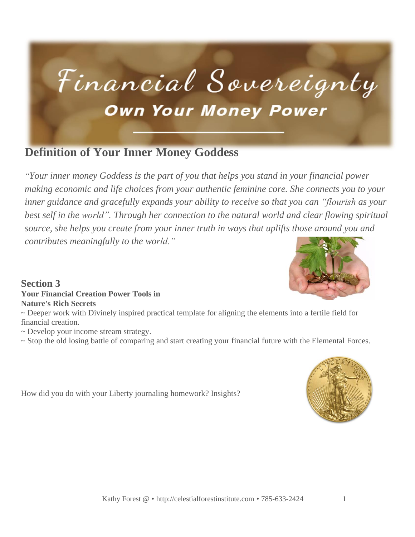

### **Definition of Your Inner Money Goddess**

*"Your inner money Goddess is the part of you that helps you stand in your financial power making economic and life choices from your authentic feminine core. She connects you to your inner guidance and gracefully expands your ability to receive so that you can "flourish as your best self in the world". Through her connection to the natural world and clear flowing spiritual source, she helps you create from your inner truth in ways that uplifts those around you and contributes meaningfully to the world."*

#### **Section 3 Your Financial Creation Power Tools in Nature's Rich Secrets**

~ Deeper work with Divinely inspired practical template for aligning the elements into a fertile field for financial creation.

~ Develop your income stream strategy.

~ Stop the old losing battle of comparing and start creating your financial future with the Elemental Forces.

How did you do with your Liberty journaling homework? Insights?

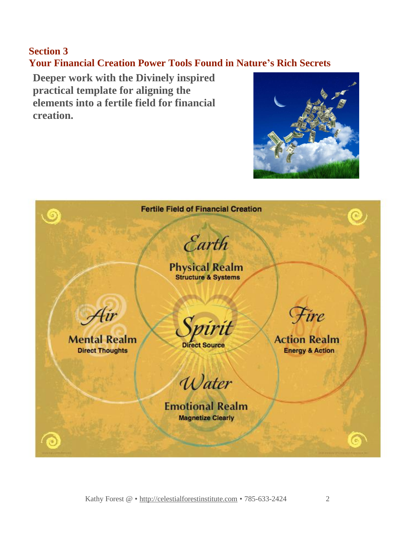### **Section 3 Your Financial Creation Power Tools Found in Nature's Rich Secrets**

**Deeper work with the Divinely inspired practical template for aligning the elements into a fertile field for financial creation.**



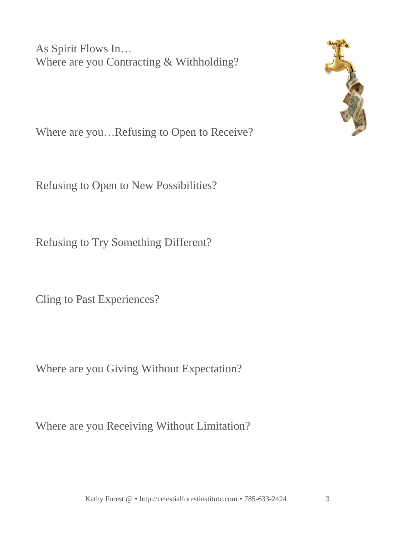As Spirit Flows In… Where are you Contracting & Withholding?



Where are you…Refusing to Open to Receive?

Refusing to Open to New Possibilities?

Refusing to Try Something Different?

Cling to Past Experiences?

Where are you Giving Without Expectation?

Where are you Receiving Without Limitation?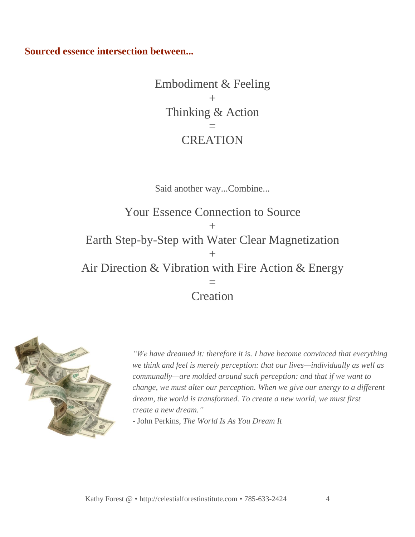**Sourced essence intersection between...**

Embodiment & Feeling  $+$ Thinking & Action = **CREATION** 

Said another way...Combine...

Your Essence Connection to Source  $+$ Earth Step-by-Step with Water Clear Magnetization  $+$ Air Direction & Vibration with Fire Action & Energy = **Creation** 



*"We have dreamed it: therefore it is. I have become convinced that everything we think and feel is merely perception: that our lives—individually as well as communally—are molded around such perception: and that if we want to change, we must alter our perception. When we give our energy to a different dream, the world is transformed. To create a new world, we must first create a new dream."*

- John Perkins, *The World Is As You Dream It*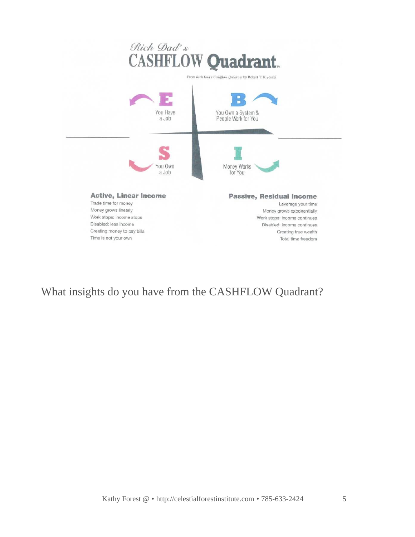

What insights do you have from the CASHFLOW Quadrant?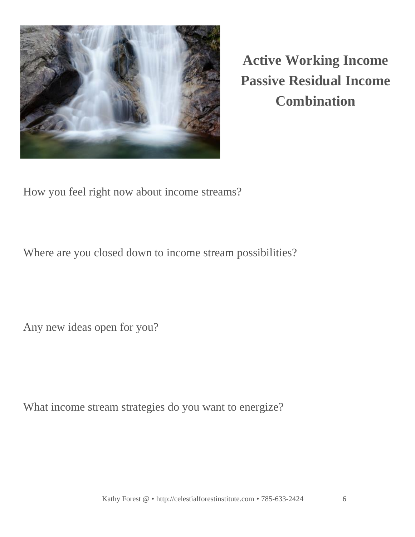

**Active Working Income Passive Residual Income Combination**

How you feel right now about income streams?

Where are you closed down to income stream possibilities?

Any new ideas open for you?

What income stream strategies do you want to energize?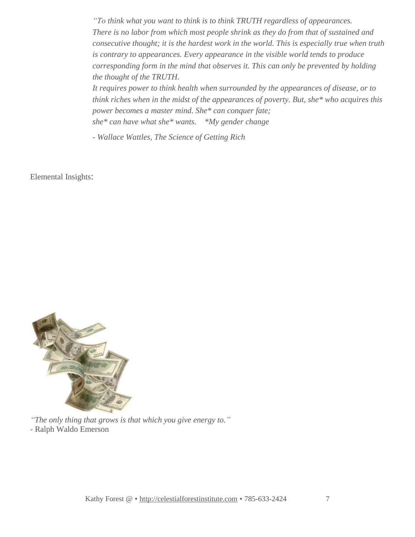*"To think what you want to think is to think TRUTH regardless of appearances. There is no labor from which most people shrink as they do from that of sustained and consecutive thought; it is the hardest work in the world. This is especially true when truth is contrary to appearances. Every appearance in the visible world tends to produce corresponding form in the mind that observes it. This can only be prevented by holding the thought of the TRUTH.*

*It requires power to think health when surrounded by the appearances of disease, or to think riches when in the midst of the appearances of poverty. But, she\* who acquires this power becomes a master mind. She\* can conquer fate; she\* can have what she\* wants. \*My gender change*

*- Wallace Wattles, The Science of Getting Rich*

Elemental Insights:



*"The only thing that grows is that which you give energy to." -* Ralph Waldo Emerson